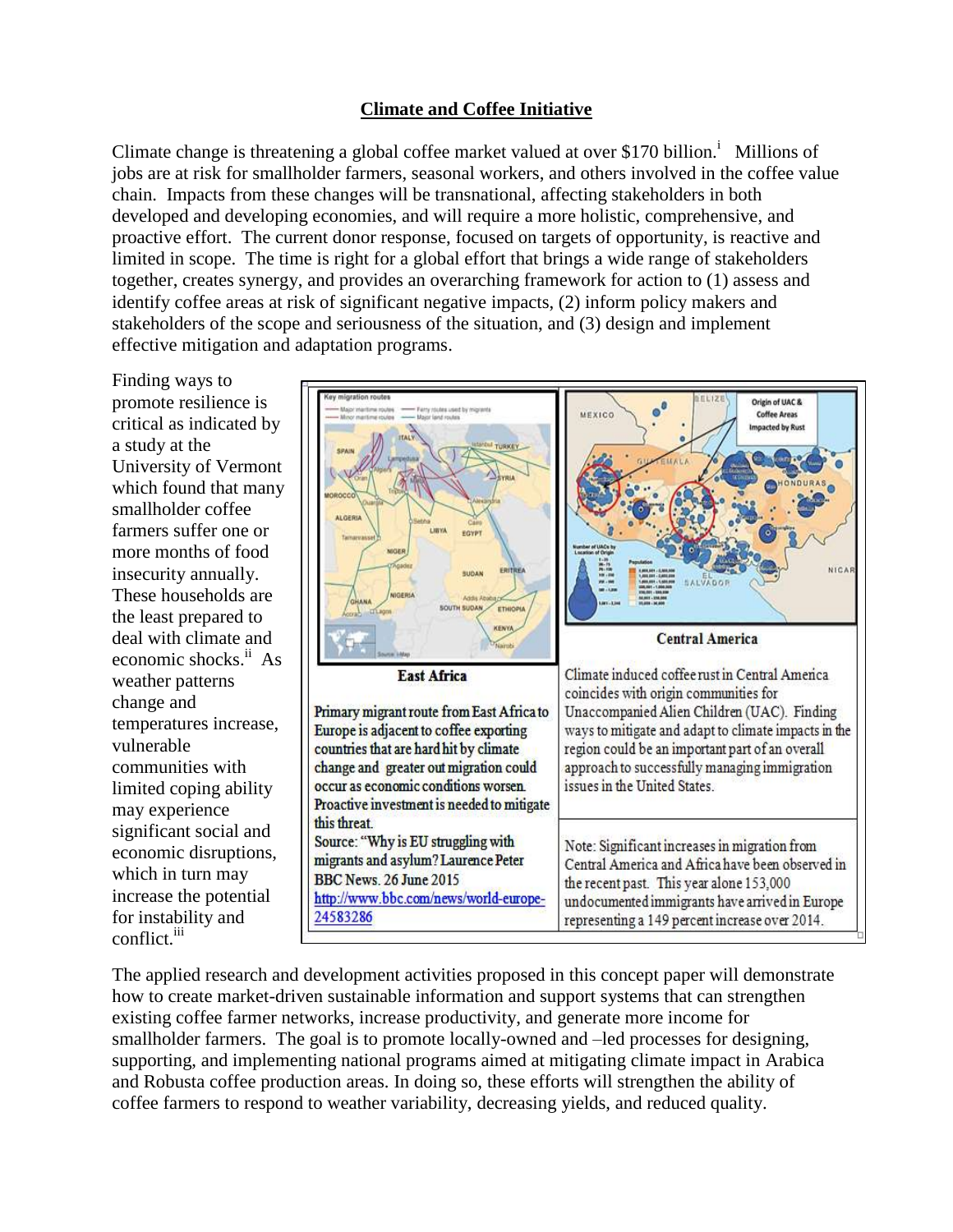## **Climate and Coffee Initiative**

Climate change is threatening a global coffee market valued at over \$170 billion.<sup>i</sup> Millions of jobs are at risk for smallholder farmers, seasonal workers, and others involved in the coffee value chain. Impacts from these changes will be transnational, affecting stakeholders in both developed and developing economies, and will require a more holistic, comprehensive, and proactive effort. The current donor response, focused on targets of opportunity, is reactive and limited in scope. The time is right for a global effort that brings a wide range of stakeholders together, creates synergy, and provides an overarching framework for action to (1) assess and identify coffee areas at risk of significant negative impacts, (2) inform policy makers and stakeholders of the scope and seriousness of the situation, and (3) design and implement effective mitigation and adaptation programs.

Finding ways to

a study at the

smallholder coffee

weather patterns change and

communities with

which in turn may

for instability and

conflict. iii

may experience

vulnerable

promote resilience is  $1171$ Origin of UAC & MEXICO **Coffee Areas** critical as indicated by Impacted by Rust University of Vermont which found that many ALGERIA farmers suffer one or LIBYA EGYPT more months of food insecurity annually. NICA **SUDAI** These households are **SOUTH SUDAN ETHIOR** the least prepared to deal with climate and **Central America** economic shocks.<sup>ii</sup> As **East Africa** Climate induced coffee rust in Central America coincides with origin communities for Unaccompanied Alien Children (UAC). Finding Primary migrant route from East Africa to temperatures increase, Europe is adjacent to coffee exporting ways to mitigate and adapt to climate impacts in the region could be an important part of an overall countries that are hard hit by climate change and greater out migration could approach to successfully managing immigration occur as economic conditions worsen. issues in the United States. limited coping ability Proactive investment is needed to mitigate this threat. significant social and Source: "Why is EU struggling with Note: Significant increases in migration from economic disruptions, migrants and asylum? Laurence Peter Central America and Africa have been observed in **BBC News. 26 June 2015** the recent past. This year alone 153,000 increase the potential http://www.bbc.com/news/world-europeundocumented immigrants have arrived in Europe 24583286 representing a 149 percent increase over 2014.

The applied research and development activities proposed in this concept paper will demonstrate how to create market-driven sustainable information and support systems that can strengthen existing coffee farmer networks, increase productivity, and generate more income for smallholder farmers. The goal is to promote locally-owned and –led processes for designing, supporting, and implementing national programs aimed at mitigating climate impact in Arabica and Robusta coffee production areas. In doing so, these efforts will strengthen the ability of coffee farmers to respond to weather variability, decreasing yields, and reduced quality.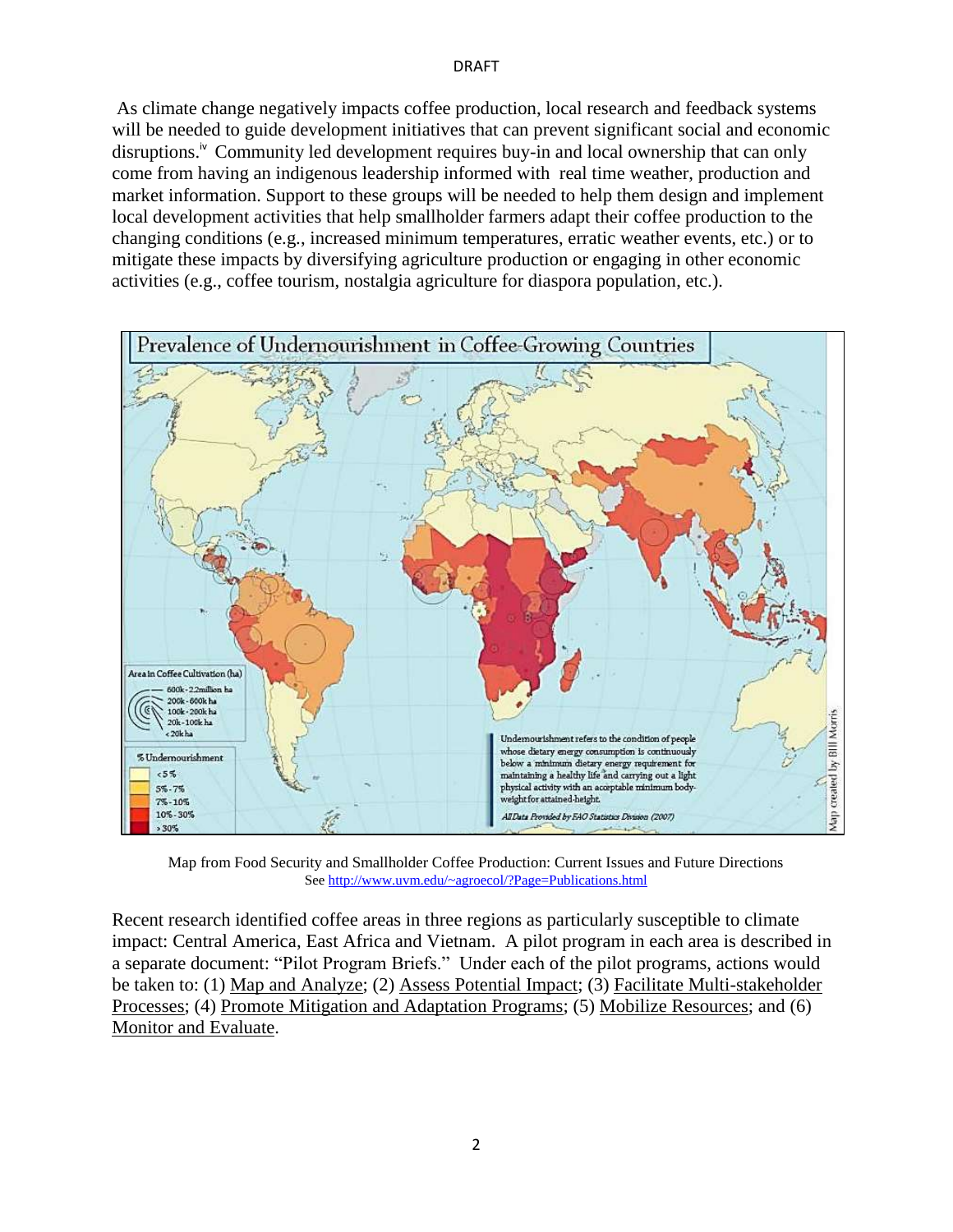## DRAFT

As climate change negatively impacts coffee production, local research and feedback systems will be needed to guide development initiatives that can prevent significant social and economic disruptions.<sup>iv</sup> Community led development requires buy-in and local ownership that can only come from having an indigenous leadership informed with real time weather, production and market information. Support to these groups will be needed to help them design and implement local development activities that help smallholder farmers adapt their coffee production to the changing conditions (e.g., increased minimum temperatures, erratic weather events, etc.) or to mitigate these impacts by diversifying agriculture production or engaging in other economic activities (e.g., coffee tourism, nostalgia agriculture for diaspora population, etc.).



Map from Food Security and Smallholder Coffee Production: Current Issues and Future Directions See<http://www.uvm.edu/~agroecol/?Page=Publications.html>

Recent research identified coffee areas in three regions as particularly susceptible to climate impact: Central America, East Africa and Vietnam. A pilot program in each area is described in a separate document: "Pilot Program Briefs." Under each of the pilot programs, actions would be taken to: (1) Map and Analyze; (2) Assess Potential Impact; (3) Facilitate Multi-stakeholder Processes; (4) Promote Mitigation and Adaptation Programs; (5) Mobilize Resources; and (6) Monitor and Evaluate.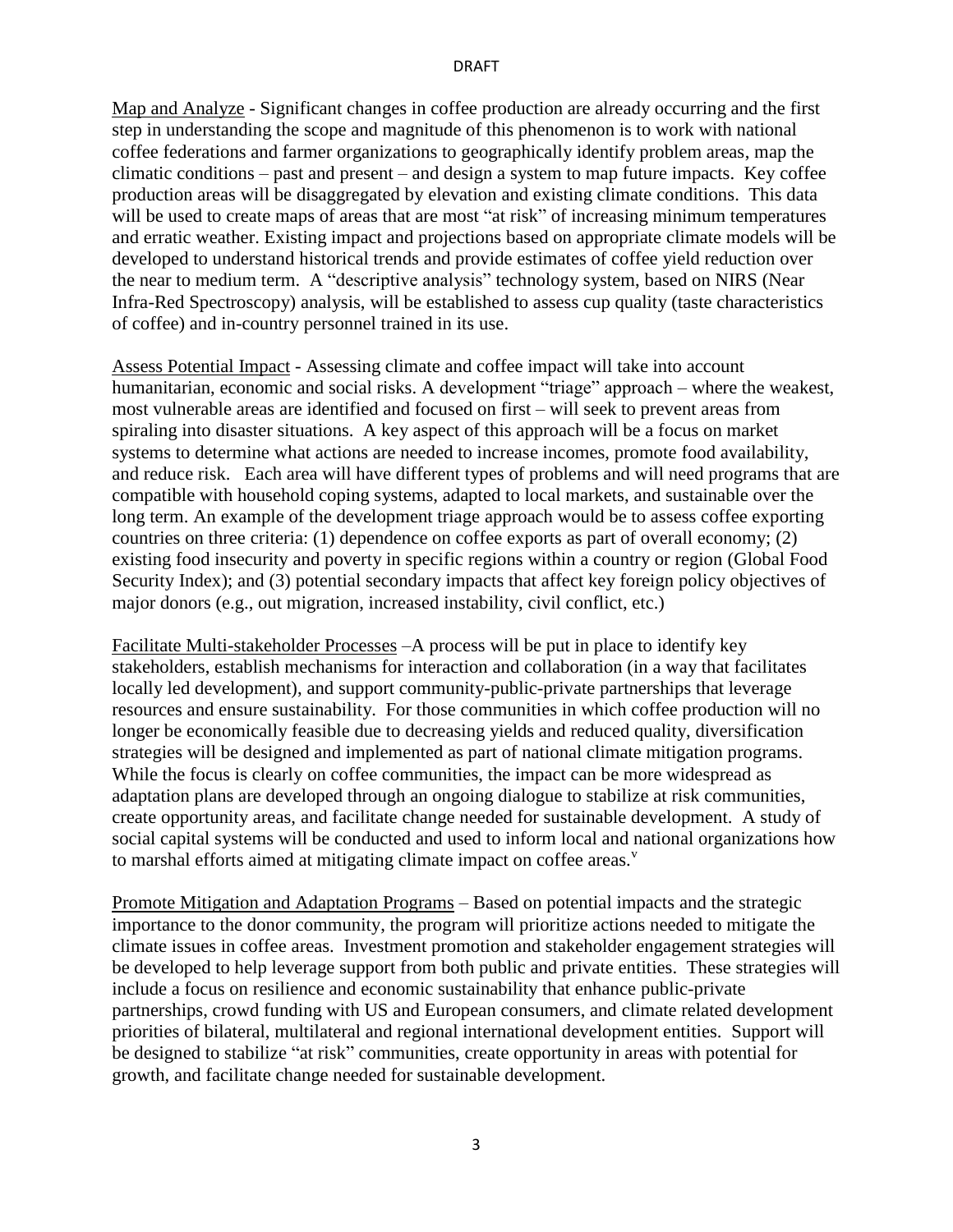Map and Analyze - Significant changes in coffee production are already occurring and the first step in understanding the scope and magnitude of this phenomenon is to work with national coffee federations and farmer organizations to geographically identify problem areas, map the climatic conditions – past and present – and design a system to map future impacts. Key coffee production areas will be disaggregated by elevation and existing climate conditions. This data will be used to create maps of areas that are most "at risk" of increasing minimum temperatures and erratic weather. Existing impact and projections based on appropriate climate models will be developed to understand historical trends and provide estimates of coffee yield reduction over the near to medium term. A "descriptive analysis" technology system, based on NIRS (Near Infra-Red Spectroscopy) analysis, will be established to assess cup quality (taste characteristics of coffee) and in-country personnel trained in its use.

Assess Potential Impact - Assessing climate and coffee impact will take into account humanitarian, economic and social risks. A development "triage" approach – where the weakest, most vulnerable areas are identified and focused on first – will seek to prevent areas from spiraling into disaster situations. A key aspect of this approach will be a focus on market systems to determine what actions are needed to increase incomes, promote food availability, and reduce risk. Each area will have different types of problems and will need programs that are compatible with household coping systems, adapted to local markets, and sustainable over the long term. An example of the development triage approach would be to assess coffee exporting countries on three criteria: (1) dependence on coffee exports as part of overall economy; (2) existing food insecurity and poverty in specific regions within a country or region (Global Food Security Index); and (3) potential secondary impacts that affect key foreign policy objectives of major donors (e.g., out migration, increased instability, civil conflict, etc.)

Facilitate Multi-stakeholder Processes –A process will be put in place to identify key stakeholders, establish mechanisms for interaction and collaboration (in a way that facilitates locally led development), and support community-public-private partnerships that leverage resources and ensure sustainability. For those communities in which coffee production will no longer be economically feasible due to decreasing yields and reduced quality, diversification strategies will be designed and implemented as part of national climate mitigation programs. While the focus is clearly on coffee communities, the impact can be more widespread as adaptation plans are developed through an ongoing dialogue to stabilize at risk communities, create opportunity areas, and facilitate change needed for sustainable development. A study of social capital systems will be conducted and used to inform local and national organizations how to marshal efforts aimed at mitigating climate impact on coffee areas.<sup>v</sup>

Promote Mitigation and Adaptation Programs – Based on potential impacts and the strategic importance to the donor community, the program will prioritize actions needed to mitigate the climate issues in coffee areas. Investment promotion and stakeholder engagement strategies will be developed to help leverage support from both public and private entities. These strategies will include a focus on resilience and economic sustainability that enhance public-private partnerships, crowd funding with US and European consumers, and climate related development priorities of bilateral, multilateral and regional international development entities. Support will be designed to stabilize "at risk" communities, create opportunity in areas with potential for growth, and facilitate change needed for sustainable development.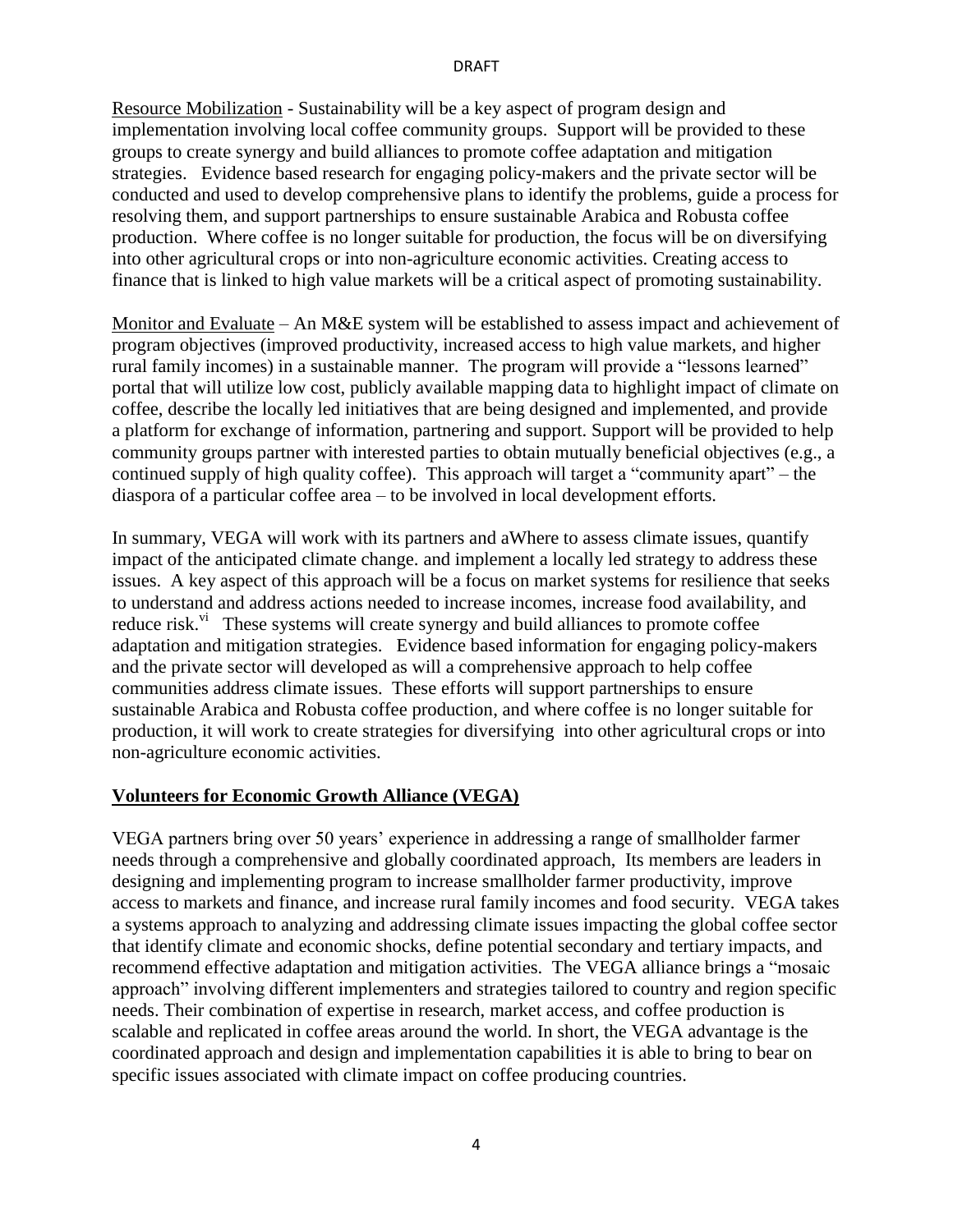Resource Mobilization - Sustainability will be a key aspect of program design and implementation involving local coffee community groups. Support will be provided to these groups to create synergy and build alliances to promote coffee adaptation and mitigation strategies. Evidence based research for engaging policy-makers and the private sector will be conducted and used to develop comprehensive plans to identify the problems, guide a process for resolving them, and support partnerships to ensure sustainable Arabica and Robusta coffee production. Where coffee is no longer suitable for production, the focus will be on diversifying into other agricultural crops or into non-agriculture economic activities. Creating access to finance that is linked to high value markets will be a critical aspect of promoting sustainability.

Monitor and Evaluate – An M&E system will be established to assess impact and achievement of program objectives (improved productivity, increased access to high value markets, and higher rural family incomes) in a sustainable manner. The program will provide a "lessons learned" portal that will utilize low cost, publicly available mapping data to highlight impact of climate on coffee, describe the locally led initiatives that are being designed and implemented, and provide a platform for exchange of information, partnering and support. Support will be provided to help community groups partner with interested parties to obtain mutually beneficial objectives (e.g., a continued supply of high quality coffee). This approach will target a "community apart" – the diaspora of a particular coffee area – to be involved in local development efforts.

In summary, VEGA will work with its partners and aWhere to assess climate issues, quantify impact of the anticipated climate change. and implement a locally led strategy to address these issues. A key aspect of this approach will be a focus on market systems for resilience that seeks to understand and address actions needed to increase incomes, increase food availability, and reduce risk. $\overline{v}$  These systems will create synergy and build alliances to promote coffee adaptation and mitigation strategies. Evidence based information for engaging policy-makers and the private sector will developed as will a comprehensive approach to help coffee communities address climate issues. These efforts will support partnerships to ensure sustainable Arabica and Robusta coffee production, and where coffee is no longer suitable for production, it will work to create strategies for diversifying into other agricultural crops or into non-agriculture economic activities.

## **Volunteers for Economic Growth Alliance (VEGA)**

VEGA partners bring over 50 years' experience in addressing a range of smallholder farmer needs through a comprehensive and globally coordinated approach, Its members are leaders in designing and implementing program to increase smallholder farmer productivity, improve access to markets and finance, and increase rural family incomes and food security. VEGA takes a systems approach to analyzing and addressing climate issues impacting the global coffee sector that identify climate and economic shocks, define potential secondary and tertiary impacts, and recommend effective adaptation and mitigation activities. The VEGA alliance brings a "mosaic approach" involving different implementers and strategies tailored to country and region specific needs. Their combination of expertise in research, market access, and coffee production is scalable and replicated in coffee areas around the world. In short, the VEGA advantage is the coordinated approach and design and implementation capabilities it is able to bring to bear on specific issues associated with climate impact on coffee producing countries.